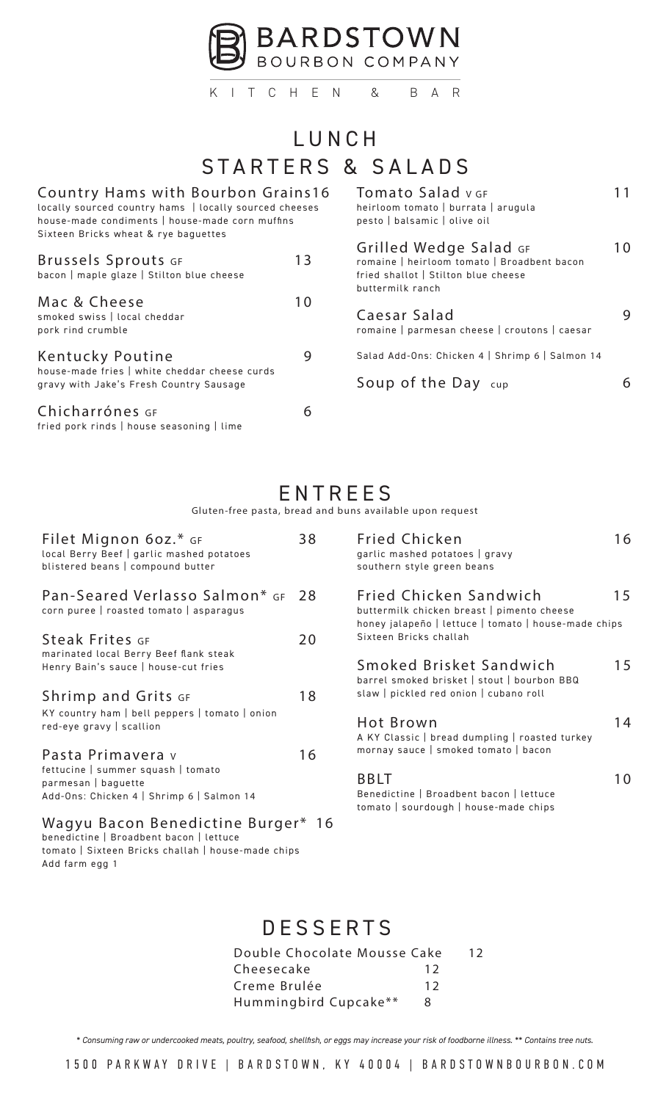

KITCHEN & BAR

# STARTERS & SALADS LUNCH

| Country Hams with Bourbon Grains16<br>locally sourced country hams   locally sourced cheeses<br>house-made condiments   house-made corn muffins<br>Sixteen Bricks wheat & rye baguettes |    | Tomato Salad v GF<br>heirloom tomato   burrata   arugula<br>pesto   balsamic   olive oil                                         |    |
|-----------------------------------------------------------------------------------------------------------------------------------------------------------------------------------------|----|----------------------------------------------------------------------------------------------------------------------------------|----|
| Brussels Sprouts GF<br>bacon   maple glaze   Stilton blue cheese                                                                                                                        | 13 | Grilled Wedge Salad GF<br>romaine   heirloom tomato   Broadbent bacon<br>fried shallot   Stilton blue cheese<br>buttermilk ranch | 10 |
| Mac & Cheese<br>smoked swiss   local cheddar<br>pork rind crumble                                                                                                                       | 10 | Caesar Salad<br>romaine   parmesan cheese   croutons   caesar                                                                    | 9  |
| Kentucky Poutine<br>house-made fries   white cheddar cheese curds<br>gravy with Jake's Fresh Country Sausage                                                                            | 9  | Salad Add-Ons: Chicken 4   Shrimp 6   Salmon 14<br>Soup of the Day cup                                                           | 6  |
| Chicharrónes GF<br>fried pork rinds   house seasoning   lime                                                                                                                            | 6  |                                                                                                                                  |    |

### ENTREES

*Gluten-free pasta, bread and buns available upon request*

| Filet Mignon 60z.* GF<br>local Berry Beef   garlic mashed potatoes<br>blistered beans   compound butter                             | 38 |
|-------------------------------------------------------------------------------------------------------------------------------------|----|
| Pan-Seared Verlasso Salmon* GF 28<br>corn puree   roasted tomato   asparagus                                                        |    |
| <b>Steak Frites</b> GF<br>marinated local Berry Beef flank steak<br>Henry Bain's sauce   house-cut fries                            | 20 |
| <b>Shrimp and Grits GF</b><br>KY country ham   bell peppers   tomato   onion<br>red-eye gravy   scallion                            | 18 |
| Pasta Primavera v<br>fettucine   summer squash   tomato<br>parmesan   baguette<br>Add-Ons: Chicken 4   Shrimp 6   Salmon 14         | 16 |
| Wagyu Bacon Benedictine Burger* 16<br>benedictine   Broadbent bacon   lettuce<br>tomato   Sixteen Bricks challah   house-made chins |    |

tomato | Sixteen Bricks challah | house-made chips Add farm egg **1**

| <b>Fried Chicken</b><br>garlic mashed potatoes   gravy<br>southern style green beans                                                                   |    |
|--------------------------------------------------------------------------------------------------------------------------------------------------------|----|
| Fried Chicken Sandwich<br>buttermilk chicken breast   pimento cheese<br>honey jalapeño   lettuce   tomato   house-made chips<br>Sixteen Bricks challah | 15 |
| Smoked Brisket Sandwich<br>barrel smoked brisket   stout   bourbon BBQ<br>slaw   pickled red onion   cubano roll                                       | 15 |
| Hot Brown<br>A KY Classic   bread dumpling   roasted turkey<br>mornay sauce   smoked tomato   bacon                                                    |    |
| RRI I                                                                                                                                                  |    |

Benedictine | Broadbent bacon | lettuce tomato | sourdough | house-made chips

### **DESSERTS**

| Double Chocolate Mousse Cake |    | 12 |
|------------------------------|----|----|
| Cheesecake                   | 12 |    |
| Creme Brulée                 | 12 |    |
| Hummingbird Cupcake**        | 8  |    |

*\* Consuming raw or undercooked meats, poultry, seafood, shellfish, or eggs may increase your risk of foodborne illness. \*\* Contains tree nuts.*